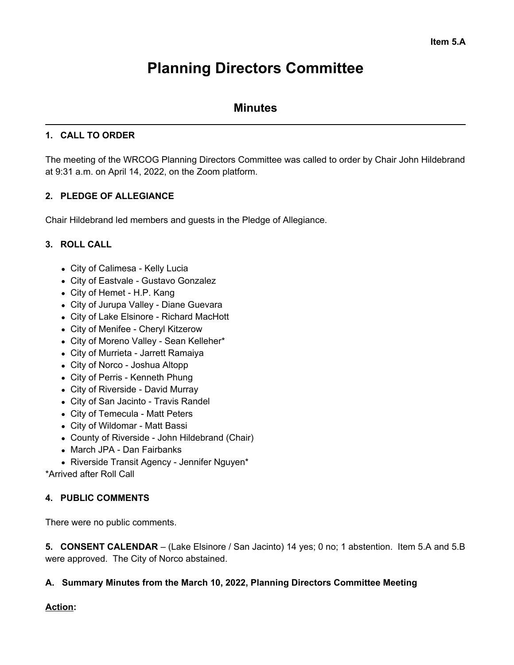# **Planning Directors Committee**

# **Minutes**

## **1. CALL TO ORDER**

The meeting of the WRCOG Planning Directors Committee was called to order by Chair John Hildebrand at 9:31 a.m. on April 14, 2022, on the Zoom platform.

## **2. PLEDGE OF ALLEGIANCE**

Chair Hildebrand led members and guests in the Pledge of Allegiance.

#### **3. ROLL CALL**

- City of Calimesa Kelly Lucia
- City of Eastvale Gustavo Gonzalez
- City of Hemet H.P. Kang
- City of Jurupa Valley Diane Guevara
- City of Lake Elsinore Richard MacHott
- City of Menifee Cheryl Kitzerow
- City of Moreno Valley Sean Kelleher\*
- City of Murrieta Jarrett Ramaiya
- City of Norco Joshua Altopp
- City of Perris Kenneth Phung
- City of Riverside David Murray
- City of San Jacinto Travis Randel
- City of Temecula Matt Peters
- City of Wildomar Matt Bassi
- County of Riverside John Hildebrand (Chair)
- March JPA Dan Fairbanks
- Riverside Transit Agency Jennifer Nguyen\*

\*Arrived after Roll Call

#### **4. PUBLIC COMMENTS**

There were no public comments.

**5. CONSENT CALENDAR** – (Lake Elsinore / San Jacinto) 14 yes; 0 no; 1 abstention. Item 5.A and 5.B were approved. The City of Norco abstained.

#### **A. Summary Minutes from the March 10, 2022, Planning Directors Committee Meeting**

#### **Action:**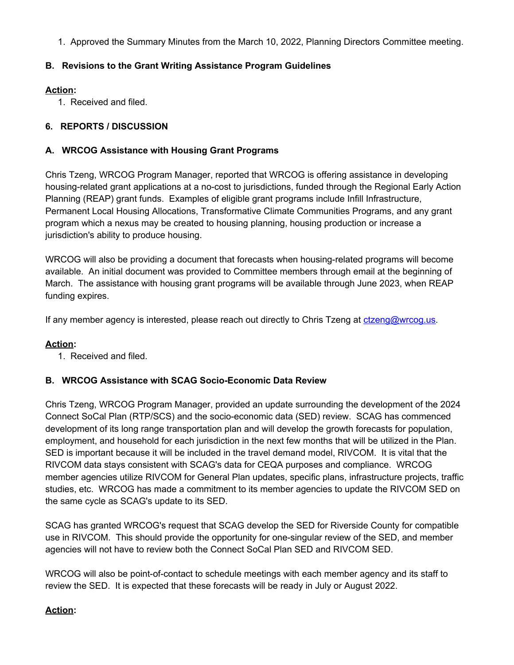1. Approved the Summary Minutes from the March 10, 2022, Planning Directors Committee meeting.

## **B. Revisions to the Grant Writing Assistance Program Guidelines**

## **Action:**

1. Received and filed.

## **6. REPORTS / DISCUSSION**

## **A. WRCOG Assistance with Housing Grant Programs**

Chris Tzeng, WRCOG Program Manager, reported that WRCOG is offering assistance in developing housing-related grant applications at a no-cost to jurisdictions, funded through the Regional Early Action Planning (REAP) grant funds. Examples of eligible grant programs include Infill Infrastructure, Permanent Local Housing Allocations, Transformative Climate Communities Programs, and any grant program which a nexus may be created to housing planning, housing production or increase a jurisdiction's ability to produce housing.

WRCOG will also be providing a document that forecasts when housing-related programs will become available. An initial document was provided to Committee members through email at the beginning of March. The assistance with housing grant programs will be available through June 2023, when REAP funding expires.

If any member agency is interested, please reach out directly to Chris Tzeng at [ctzeng@wrcog.us](mailto:ctzeng@wrcog.us).

#### **Action:**

1. Received and filed.

#### **B. WRCOG Assistance with SCAG Socio-Economic Data Review**

Chris Tzeng, WRCOG Program Manager, provided an update surrounding the development of the 2024 Connect SoCal Plan (RTP/SCS) and the socio-economic data (SED) review. SCAG has commenced development of its long range transportation plan and will develop the growth forecasts for population, employment, and household for each jurisdiction in the next few months that will be utilized in the Plan. SED is important because it will be included in the travel demand model, RIVCOM. It is vital that the RIVCOM data stays consistent with SCAG's data for CEQA purposes and compliance. WRCOG member agencies utilize RIVCOM for General Plan updates, specific plans, infrastructure projects, traffic studies, etc. WRCOG has made a commitment to its member agencies to update the RIVCOM SED on the same cycle as SCAG's update to its SED.

SCAG has granted WRCOG's request that SCAG develop the SED for Riverside County for compatible use in RIVCOM. This should provide the opportunity for one-singular review of the SED, and member agencies will not have to review both the Connect SoCal Plan SED and RIVCOM SED.

WRCOG will also be point-of-contact to schedule meetings with each member agency and its staff to review the SED. It is expected that these forecasts will be ready in July or August 2022.

#### **Action:**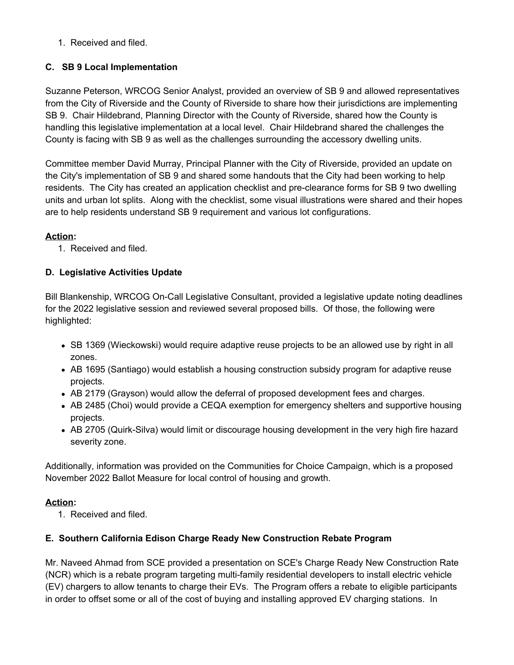1. Received and filed.

## **C. SB 9 Local Implementation**

Suzanne Peterson, WRCOG Senior Analyst, provided an overview of SB 9 and allowed representatives from the City of Riverside and the County of Riverside to share how their jurisdictions are implementing SB 9. Chair Hildebrand, Planning Director with the County of Riverside, shared how the County is handling this legislative implementation at a local level. Chair Hildebrand shared the challenges the County is facing with SB 9 as well as the challenges surrounding the accessory dwelling units.

Committee member David Murray, Principal Planner with the City of Riverside, provided an update on the City's implementation of SB 9 and shared some handouts that the City had been working to help residents. The City has created an application checklist and pre-clearance forms for SB 9 two dwelling units and urban lot splits. Along with the checklist, some visual illustrations were shared and their hopes are to help residents understand SB 9 requirement and various lot configurations.

#### **Action:**

1. Received and filed.

# **D. Legislative Activities Update**

Bill Blankenship, WRCOG On-Call Legislative Consultant, provided a legislative update noting deadlines for the 2022 legislative session and reviewed several proposed bills. Of those, the following were highlighted:

- SB 1369 (Wieckowski) would require adaptive reuse projects to be an allowed use by right in all zones.
- AB 1695 (Santiago) would establish a housing construction subsidy program for adaptive reuse projects.
- AB 2179 (Grayson) would allow the deferral of proposed development fees and charges.
- AB 2485 (Choi) would provide a CEQA exemption for emergency shelters and supportive housing projects.
- AB 2705 (Quirk-Silva) would limit or discourage housing development in the very high fire hazard severity zone.

Additionally, information was provided on the Communities for Choice Campaign, which is a proposed November 2022 Ballot Measure for local control of housing and growth.

#### **Action:**

1. Received and filed.

#### **E. Southern California Edison Charge Ready New Construction Rebate Program**

Mr. Naveed Ahmad from SCE provided a presentation on SCE's Charge Ready New Construction Rate (NCR) which is a rebate program targeting multi-family residential developers to install electric vehicle (EV) chargers to allow tenants to charge their EVs. The Program offers a rebate to eligible participants in order to offset some or all of the cost of buying and installing approved EV charging stations. In